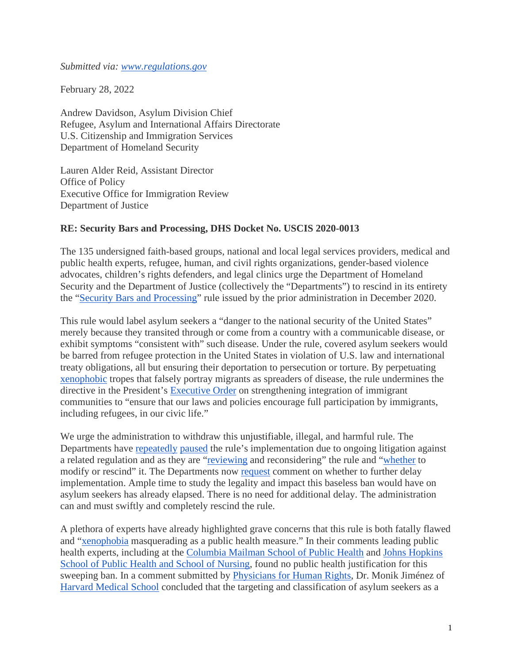*Submitted via: [www.regulations.gov](http://www.regulations.gov/)* 

February 28, 2022

Andrew Davidson, Asylum Division Chief Refugee, Asylum and International Affairs Directorate U.S. Citizenship and Immigration Services Department of Homeland Security

Lauren Alder Reid, Assistant Director Office of Policy Executive Office for Immigration Review Department of Justice

## **RE: Security Bars and Processing, DHS Docket No. USCIS 2020-0013**

The 135 undersigned faith-based groups, national and local legal services providers, medical and public health experts, refugee, human, and civil rights organizations, gender-based violence advocates, children's rights defenders, and legal clinics urge the Department of Homeland Security and the Department of Justice (collectively the "Departments") to rescind in its entirety the ["Security Bars and Processing"](https://www.govinfo.gov/content/pkg/FR-2020-12-23/pdf/2020-28436.pdf) rule issued by the prior administration in December 2020.

This rule would label asylum seekers a "danger to the national security of the United States" merely because they transited through or come from a country with a communicable disease, or exhibit symptoms "consistent with" such disease. Under the rule, covered asylum seekers would be barred from refugee protection in the United States in violation of U.S. law and international treaty obligations, all but ensuring their deportation to persecution or torture. By perpetuating [xenophobic](https://www.nytimes.com/2020/05/03/us/coronavirus-immigration-stephen-miller-public-health.html) tropes that falsely portray migrants as spreaders of disease, the rule undermines the directive in the President's [Executive Order](https://www.whitehouse.gov/briefing-room/presidential-actions/2021/02/02/executive-order-restoring-faith-in-our-legal-immigration-systems-and-strengthening-integration-and-inclusion-efforts-for-new-americans/) on strengthening integration of immigrant communities to "ensure that our laws and policies encourage full participation by immigrants, including refugees, in our civic life."

We urge the administration to withdraw this unjustifiable, illegal, and harmful rule. The Departments have [repeatedly](https://www.govinfo.gov/content/pkg/FR-2021-01-25/pdf/2021-01683.pdf) [paused](https://www.govinfo.gov/content/pkg/FR-2021-03-22/pdf/2021-05931.pdf) the rule's implementation due to ongoing litigation against a related regulation and as they are ["reviewing](https://www.govinfo.gov/content/pkg/FR-2021-12-28/pdf/2021-28016.pdf) and reconsidering" the rule and ["whether](https://www.govinfo.gov/content/pkg/FR-2021-12-28/pdf/2021-28016.pdf) to modify or rescind" it. The Departments now [request](https://www.govinfo.gov/content/pkg/FR-2021-12-28/pdf/2021-28016.pdf) comment on whether to further delay implementation. Ample time to study the legality and impact this baseless ban would have on asylum seekers has already elapsed. There is no need for additional delay. The administration can and must swiftly and completely rescind the rule.

A plethora of experts have already highlighted grave concerns that this rule is both fatally flawed and ["xenophobia](https://www.publichealth.columbia.edu/public-health-now/news/public-health-experts-urge-us-officials-withdraw-proposed-rule-would-bar-refugees-asylum-and-and) masquerading as a public health measure." In their comments leading public health experts, including at the [Columbia Mailman School of Public Health](https://www.publichealth.columbia.edu/public-health-now/news/public-health-experts-urge-us-officials-withdraw-proposed-rule-would-bar-refugees-asylum-and-and) and [Johns Hopkins](https://www.regulations.gov/comment/EOIR-2020-0010-0004)  [School of Public Health and School of Nursing,](https://www.regulations.gov/comment/EOIR-2020-0010-0004) found no public health justification for this sweeping ban. In a comment submitted by [Physicians](https://www.regulations.gov/comment/USCIS-2020-0013-2094) [for Human Rights,](https://www.regulations.gov/comment/USCIS-2020-0013-2094) Dr. Monik Jiménez of [Harvard Medical School](https://connects.catalyst.harvard.edu/Profiles/display/Person/51770) concluded that the targeting and classification of asylum seekers as a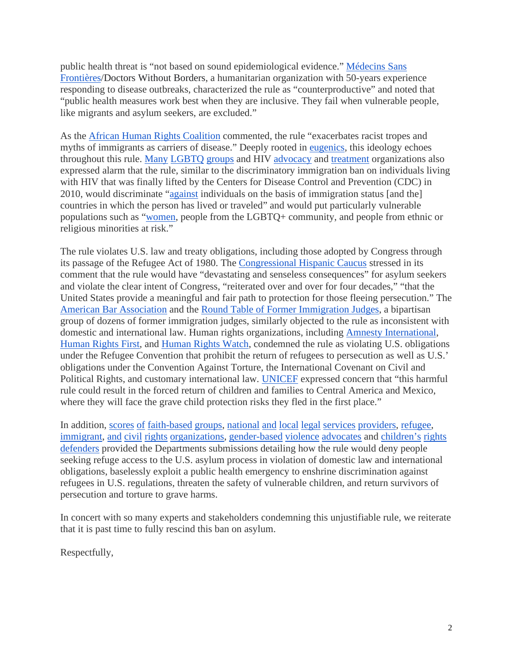public health threat is "not based on sound epidemiological evidence." [Médecins Sans](https://www.regulations.gov/comment/USCIS-2020-0013-1537)  [Frontières/](https://www.regulations.gov/comment/USCIS-2020-0013-1537)Doctors Without Borders, a humanitarian organization with 50-years experience responding to disease outbreaks, characterized the rule as "counterproductive" and noted that "public health measures work best when they are inclusive. They fail when vulnerable people, like migrants and asylum seekers, are excluded."

As the [African Human Rights Coalition](https://www.regulations.gov/comment/USCIS-2020-0013-1490) commented, the rule "exacerbates racist tropes and myths of immigrants as carriers of disease." Deeply rooted in [eugenics,](https://www.npr.org/2019/05/08/721371176/eugenics-anti-immigration-laws-of-the-past-still-resonate-today-journalist-says) this ideology echoes throughout this rule. [Many](https://www.regulations.gov/comment/USCIS-2020-0013-1957) [LGBTQ](https://www.regulations.gov/comment/USCIS-2020-0013-1983) [groups](https://www.regulations.gov/comment/USCIS-2020-0013-1428) and HIV [advocacy](https://www.regulations.gov/comment/USCIS-2020-0013-2127) and [treatment](https://www.regulations.gov/comment/USCIS-2020-0013-4951) organizations also expressed alarm that the rule, similar to the discriminatory immigration ban on individuals living with HIV that was finally lifted by the Centers for Disease Control and Prevention (CDC) in 2010, would discriminate ["against](https://www.regulations.gov/comment/USCIS-2020-0013-4951) individuals on the basis of immigration status [and the] countries in which the person has lived or traveled" and would put particularly vulnerable populations such as ["women,](https://www.regulations.gov/comment/USCIS-2020-0013-2127) people from the LGBTQ+ community, and people from ethnic or religious minorities at risk."

The rule violates U.S. law and treaty obligations, including those adopted by Congress through its passage of the Refugee Act of 1980. The [Congressional Hispanic Caucus](https://www.regulations.gov/comment/USCIS-2020-0013-4952) stressed in its comment that the rule would have "devastating and senseless consequences" for asylum seekers and violate the clear intent of Congress, "reiterated over and over for four decades," "that the United States provide a meaningful and fair path to protection for those fleeing persecution." The [American Bar Association](https://www.regulations.gov/comment/USCIS-2020-0013-2057) and the [Round Table of Former Immigration Judges,](https://www.regulations.gov/comment/USCIS-2020-0013-1113) a bipartisan group of dozens of former immigration judges, similarly objected to the rule as inconsistent with domestic and international law. Human rights organizations, including [Amnesty International,](https://www.amnestyusa.org/wp-content/uploads/2020/08/8.10.2020-Amnesty-International-Comment-Opposing-New-National-Security-Asylum-Regulation.pdf) [Human Rights First,](https://www.regulations.gov/comment/USCIS-2020-0013-5095) and [Human Rights Watch,](https://www.regulations.gov/comment/USCIS-2020-0013-1828) condemned the rule as violating U.S. obligations under the Refugee Convention that prohibit the return of refugees to persecution as well as U.S.' obligations under the Convention Against Torture, the International Covenant on Civil and Political Rights, and customary international law. [UNICEF](https://www.unicefusa.org/sites/default/files/UNICEF%20USA%20Comment%20on%20Asylum%20Restrictions.pdf) expressed concern that "this harmful rule could result in the forced return of children and families to Central America and Mexico, where they will face the grave child protection risks they fled in the first place."

In addition, [scores](https://www.regulations.gov/comment/USCIS-2020-0013-5097) [of](https://www.regulations.gov/comment/USCIS-2020-0013-0767) [faith-based](https://www.regulations.gov/comment/USCIS-2020-0013-1825) [groups,](https://www.regulations.gov/comment/USCIS-2020-0013-1414) [national](https://www.regulations.gov/comment/USCIS-2020-0013-2178) [and](https://www.regulations.gov/comment/USCIS-2020-0013-2210) [local](https://www.regulations.gov/comment/USCIS-2020-0013-2139) [legal](https://www.regulations.gov/comment/USCIS-2020-0013-1837) [services](https://www.regulations.gov/comment/USCIS-2020-0013-2225) [providers,](https://www.regulations.gov/comment/USCIS-2020-0013-2016) [refugee,](https://www.regulations.gov/comment/USCIS-2020-0013-5110) [immigrant,](https://www.regulations.gov/comment/USCIS-2020-0013-1345) [and](https://www.regulations.gov/comment/USCIS-2020-0013-2176) [civil](https://www.regulations.gov/comment/USCIS-2020-0013-1858) [rights](https://www.regulations.gov/comment/USCIS-2020-0013-1912) [organizations,](https://www.regulations.gov/comment/USCIS-2020-0013-2072) [gender-based](https://www.regulations.gov/comment/USCIS-2020-0013-1241) [violence](https://www.regulations.gov/comment/USCIS-2020-0013-1263) [advocates](https://www.regulations.gov/comment/USCIS-2020-0013-1843) and [children's](https://www.regulations.gov/comment/USCIS-2020-0013-1003) [rights](https://www.regulations.gov/comment/USCIS-2020-0013-1938) [defenders](https://www.regulations.gov/comment/USCIS-2020-0013-1349) provided the Departments submissions detailing how the rule would deny people seeking refuge access to the U.S. asylum process in violation of domestic law and international obligations, baselessly exploit a public health emergency to enshrine discrimination against refugees in U.S. regulations, threaten the safety of vulnerable children, and return survivors of persecution and torture to grave harms.

In concert with so many experts and stakeholders condemning this unjustifiable rule, we reiterate that it is past time to fully rescind this ban on asylum.

Respectfully,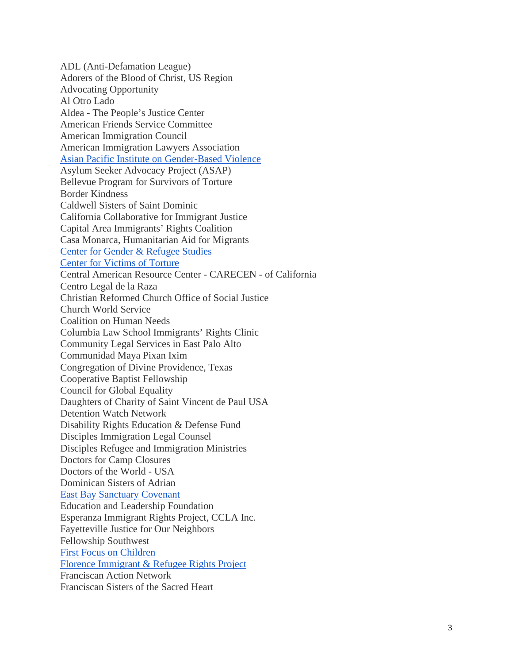ADL (Anti -Defamation League) Adorers of the Blood of Christ, US Region Advocating Opportunity Al Otro Lado Aldea - The People's Justice Center American Friends Service Committee American Immigration Council American Immigration Lawyers Association [Asian Pacific Institute on Gender](https://www.regulations.gov/comment/USCIS-2020-0013-2138) -Based Violence Asylum Seeker Advocacy Project (ASAP) Bellevue Program for Survivors of Torture Border Kindness Caldwell Sisters of Saint Dominic California Collaborative for Immigrant Justice Capital Area Immigrants' Rights Coalition Casa Monarca, Humanitarian Aid for Migrants [Center for Gender & Refugee Studies](https://www.regulations.gov/comment/USCIS-2020-0013-1241)  [Center for Victims of Torture](https://www.regulations.gov/comment/USCIS-2020-0013-1843) Central American Resource Center - CARECEN - of California Centro Legal de la Raza Christian Reformed Church Office of Social Justice Church World Service Coalition on Human Needs Columbia Law School Immigrants' Rights Clinic Community Legal Services in East Palo Alto Communidad Maya Pixan Ixim Congregation of Divine Providence, Texas Cooperative Baptist Fellowship Council for Global Equality Daughters of Charity of Saint Vincent de Paul USA Detention Watch Network Disability Rights Education & Defense Fund Disciples Immigration Legal Counsel Disciples Refugee and Immigration Ministries Doctors for Camp Closures Doctors of the World - USA Dominican Sisters of Adrian [East Bay Sanctuary Covenant](https://www.regulations.gov/comment/USCIS-2020-0013-2052) Education and Leadership Foundation Esperanza Immigrant Rights Project, CCLA Inc. Fayetteville Justice for Our Neighbors Fellowship Southwest [First Focus on Children](https://www.regulations.gov/comment/USCIS-2020-0013-1003) [Florence Immigrant & Refugee Rights Project](https://www.regulations.gov/comment/USCIS-2020-0013-2139)  Franciscan Action Network Franciscan Sisters of the Sacred Heart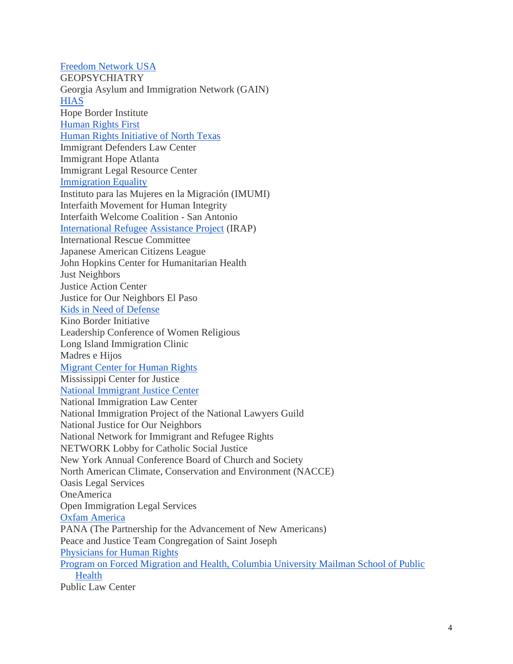[Freedom Network USA](https://www.regulations.gov/comment/USCIS-2020-0013-1872) **GEOPSYCHIATRY** Georgia Asylum and Immigration Network (GAIN) **[HIAS](https://www.regulations.gov/comment/USCIS-2020-0013-5097)** Hope Border Institute [Human Rights First](https://www.regulations.gov/comment/USCIS-2020-0013-5095) [Human Rights Initiative of North Texas](https://www.regulations.gov/comment/USCIS-2020-0013-1913) Immigrant Defenders Law Center Immigrant Hope Atlanta Immigrant Legal Resource Center [Immigration Equality](https://www.regulations.gov/comment/USCIS-2020-0013-1428)  Instituto para las Mujeres en la Migración (IMUMI) Interfaith Movement for Human Integrity Interfaith Welcome Coalition - San Antonio [International Refugee](https://www.regulations.gov/comment/USCIS-2020-0013-2214) [Assistance Project](https://www.regulations.gov/comment/USCIS-2020-0013-5110) (IRAP) International Rescue Committee Japanese American Citizens League John Hopkins Center for Humanitarian Health Just Neighbors Justice Action Center Justice for Our Neighbors El Paso [Kids in Need of Defense](https://www.regulations.gov/comment/USCIS-2020-0013-1938) Kino Border Initiative Leadership Conference of Women Religious Long Island Immigration Clinic Madres e Hijos [Migrant Center for Human Rights](https://www.regulations.gov/comment/USCIS-2020-0013-2215)  Mississippi Center for Justice [National Immigrant Justice Center](https://www.regulations.gov/comment/USCIS-2020-0013-5094) National Immigration Law Center National Immigration Project of the National Lawyers Guild National Justice for Our Neighbors National Network for Immigrant and Refugee Rights NETWORK Lobby for Catholic Social Justice New York Annual Conference Board of Church and Society North American Climate, Conservation and Environment (NACCE) Oasis Legal Services **OneAmerica** Open Immigration Legal Services [Oxfam America](https://www.regulations.gov/comment/USCIS-2020-0013-1903) PANA (The Partnership for the Advancement of New Americans) Peace and Justice Team Congregation of Saint Joseph [Physicians for Human Rights](https://www.regulations.gov/comment/USCIS-2020-0013-2094)  [Program on Forced Migration and Health, Columbia University Mailman School of Public](https://www.publichealth.columbia.edu/public-health-now/news/public-health-experts-urge-us-officials-withdraw-proposed-rule-would-bar-refugees-asylum-and-and?utm_content=buffer37f41&utm_medium=social&utm_source=twitter.com&utm_campaign=buffer)  **[Health](https://www.publichealth.columbia.edu/public-health-now/news/public-health-experts-urge-us-officials-withdraw-proposed-rule-would-bar-refugees-asylum-and-and?utm_content=buffer37f41&utm_medium=social&utm_source=twitter.com&utm_campaign=buffer)** Public Law Center